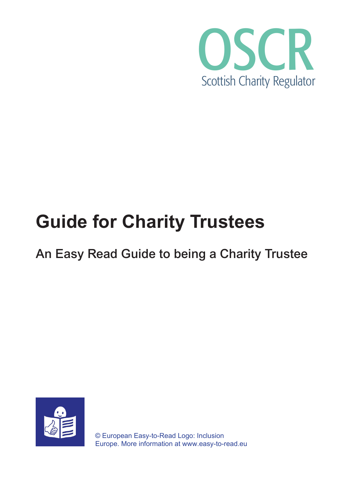

# **Guide for Charity Trustees**

# An Easy Read Guide to being a Charity Trustee

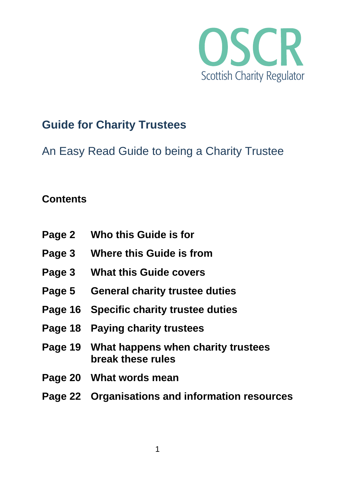

## **Guide for Charity Trustees**

An Easy Read Guide to being a Charity Trustee

#### **Contents**

| Page 2        | Who this Guide is for                                           |
|---------------|-----------------------------------------------------------------|
| Page 3        | <b>Where this Guide is from</b>                                 |
| Page 3        | <b>What this Guide covers</b>                                   |
| <b>Page 5</b> | <b>General charity trustee duties</b>                           |
|               | Page 16 Specific charity trustee duties                         |
|               | Page 18 Paying charity trustees                                 |
|               | Page 19 What happens when charity trustees<br>break these rules |
|               | Page 20 What words mean                                         |
|               | Page 22 Organisations and information resources                 |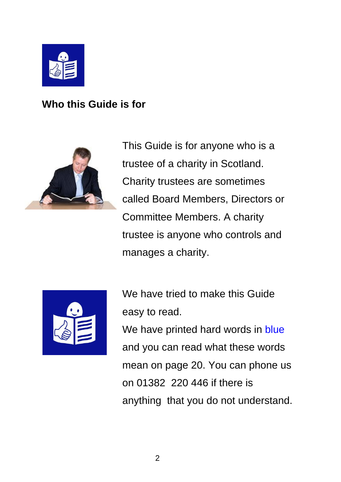

**Who this Guide is for**



This Guide is for anyone who is a trustee of a charity in Scotland. Charity trustees are sometimes called Board Members, Directors or Committee Members. A charity trustee is anyone who controls and manages a charity.



We have tried to make this Guide easy to read. We have printed hard words in blue and you can read what these words mean on page 20. You can phone us on 01382 220 446 if there is anything that you do not understand.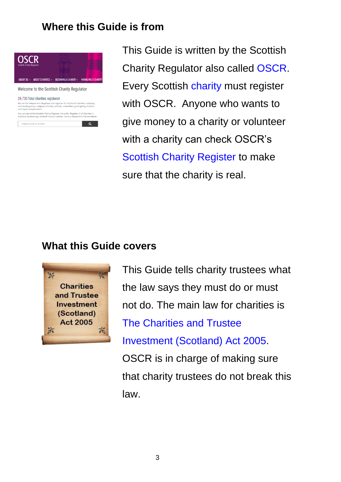#### **Where this Guide is from**

 $\overline{\mathbf{q}}$ 



Welcome to the Scottish Charity Regulator

#### 24.730 Total charities registered

e are the independent of **official conducts**<br>We are the independent Regulator and registrar for Scotland's charities, including<br>community groups, religious charities, schools, universities, grant-giving charities,<br>and majo

You can search the Scottish Charity Register, the public Register of all charities in<br>Scotland, by entering a Scottish Charity number, name or keyword in the box below

Charity name or number

This Guide is written by the Scottish Charity Regulator also called OSCR. Every Scottish charity must register with OSCR. Anyone who wants to give money to a charity or volunteer with a charity can check OSCR's Scottish Charity Register to make sure that the charity is real.

#### **What this Guide covers**



This Guide tells charity trustees what the law says they must do or must not do. The main law for charities is The Charities and Trustee Investment (Scotland) Act 2005. OSCR is in charge of making sure that charity trustees do not break this law.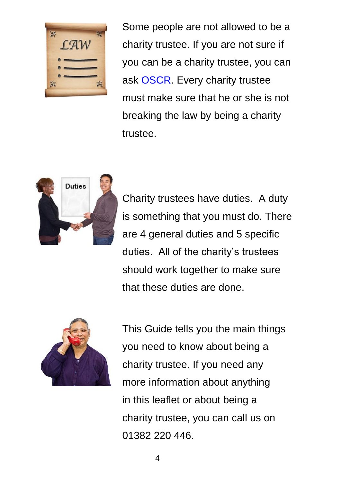

Some people are not allowed to be a charity trustee. If you are not sure if you can be a charity trustee, you can ask OSCR. Every charity trustee must make sure that he or she is not breaking the law by being a charity trustee.



Charity trustees have duties. A duty is something that you must do. There are 4 general duties and 5 specific duties. All of the charity's trustees should work together to make sure that these duties are done.



This Guide tells you the main things you need to know about being a charity trustee. If you need any more information about anything in this leaflet or about being a charity trustee, you can call us on 01382 220 446.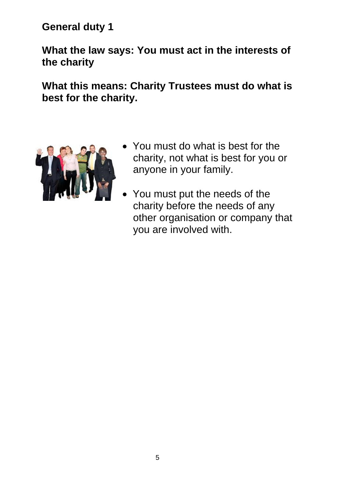**General duty 1** 

**What the law says: You must act in the interests of the charity**

**What this means: Charity Trustees must do what is best for the charity.**



- You must do what is best for the charity, not what is best for you or anyone in your family.
- You must put the needs of the charity before the needs of any other organisation or company that you are involved with.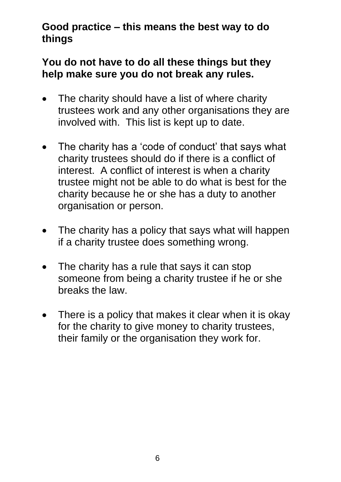#### **Good practice – this means the best way to do things**

#### **You do not have to do all these things but they help make sure you do not break any rules.**

- The charity should have a list of where charity trustees work and any other organisations they are involved with. This list is kept up to date.
- The charity has a 'code of conduct' that says what charity trustees should do if there is a conflict of interest. A conflict of interest is when a charity trustee might not be able to do what is best for the charity because he or she has a duty to another organisation or person.
- The charity has a policy that says what will happen if a charity trustee does something wrong.
- The charity has a rule that says it can stop someone from being a charity trustee if he or she breaks the law.
- There is a policy that makes it clear when it is okay for the charity to give money to charity trustees, their family or the organisation they work for.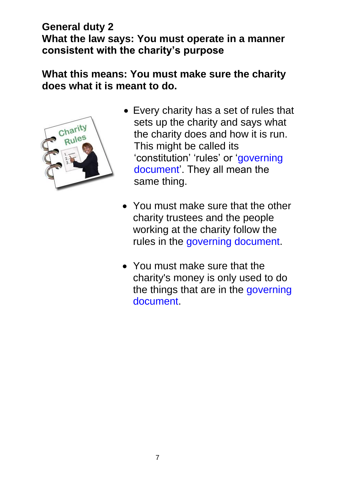#### **General duty 2 What the law says: You must operate in a manner consistent with the charity's purpose**

#### **What this means: You must make sure the charity does what it is meant to do.**



- Every charity has a set of rules that sets up the charity and says what the charity does and how it is run. This might be called its 'constitution' 'rules' or 'governing document'. They all mean the same thing.
- You must make sure that the other charity trustees and the people working at the charity follow the rules in the governing document.
- You must make sure that the charity's money is only used to do the things that are in the governing document.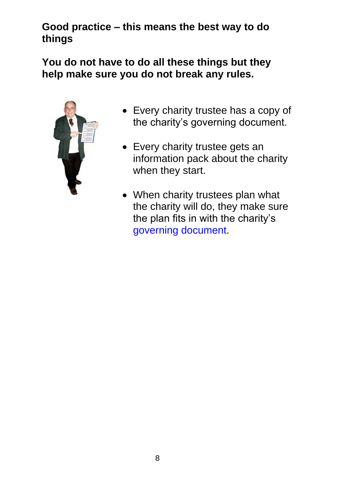#### **Good practice – this means the best way to do things**

**You do not have to do all these things but they help make sure you do not break any rules.**



- Every charity trustee has a copy of the charity's governing document.
- Every charity trustee gets an information pack about the charity when they start.
- When charity trustees plan what the charity will do, they make sure the plan fits in with the charity's governing document.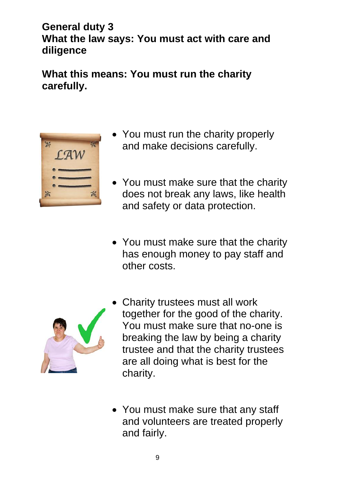#### **General duty 3 What the law says: You must act with care and diligence**

**What this means: You must run the charity carefully.**



- You must run the charity properly and make decisions carefully.
- You must make sure that the charity does not break any laws, like health and safety or data protection.
- You must make sure that the charity has enough money to pay staff and other costs.



- Charity trustees must all work together for the good of the charity. You must make sure that no-one is breaking the law by being a charity trustee and that the charity trustees are all doing what is best for the charity.
- You must make sure that any staff and volunteers are treated properly and fairly.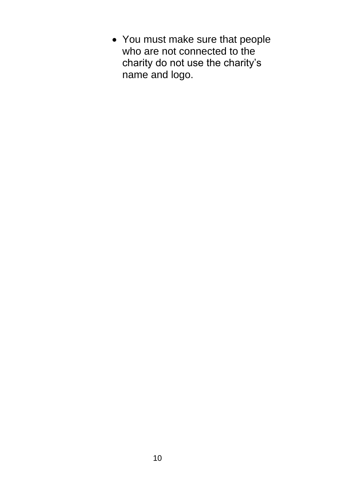• You must make sure that people who are not connected to the charity do not use the charity's name and logo.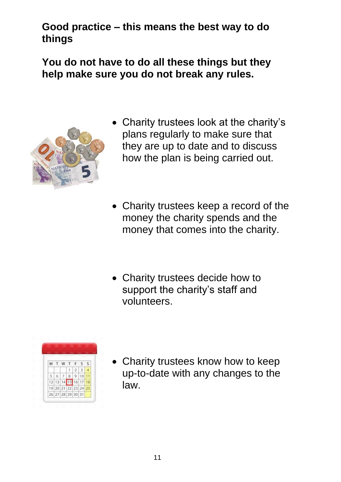#### **Good practice – this means the best way to do things**

**You do not have to do all these things but they help make sure you do not break any rules.**



- Charity trustees look at the charity's plans regularly to make sure that they are up to date and to discuss how the plan is being carried out.
- Charity trustees keep a record of the money the charity spends and the money that comes into the charity.
- Charity trustees decide how to support the charity's staff and volunteers.



• Charity trustees know how to keep up-to-date with any changes to the law.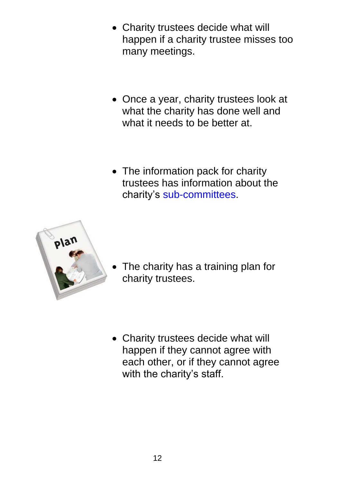- Charity trustees decide what will happen if a charity trustee misses too many meetings.
- Once a year, charity trustees look at what the charity has done well and what it needs to be better at.
- The information pack for charity trustees has information about the charity's sub-committees.



• The charity has a training plan for charity trustees.

• Charity trustees decide what will happen if they cannot agree with each other, or if they cannot agree with the charity's staff.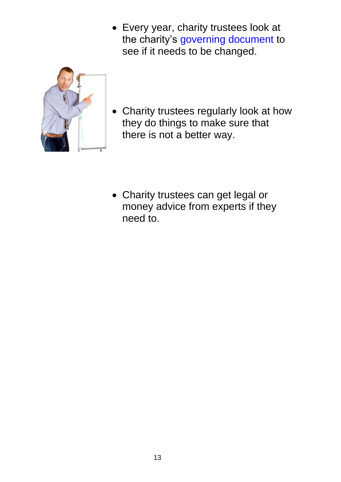• Every year, charity trustees look at the charity's governing document to see if it needs to be changed.



• Charity trustees regularly look at how they do things to make sure that there is not a better way.

• Charity trustees can get legal or money advice from experts if they need to.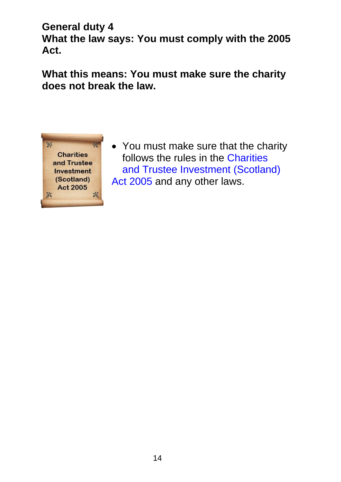**General duty 4 What the law says: You must comply with the 2005 Act.**

**What this means: You must make sure the charity does not break the law.**



• You must make sure that the charity follows the rules in the Charities and Trustee Investment (Scotland)  $$WDQGDQRWWODZ$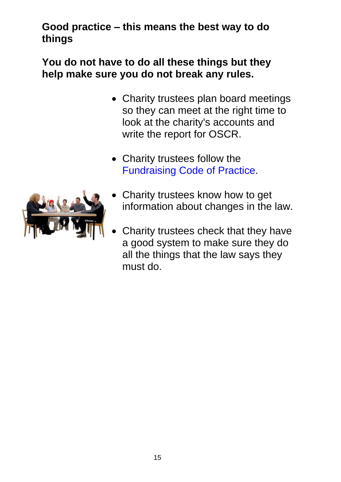#### **Good practice – this means the best way to do things**

#### **You do not have to do all these things but they help make sure you do not break any rules.**

- Charity trustees plan board meetings so they can meet at the right time to look at the charity's accounts and write the report for OSCR.
- Charity trustees follow the Fundraising Code of Practice.



- Charity trustees know how to get information about changes in the law.
- Charity trustees check that they have a good system to make sure they do all the things that the law says they must do.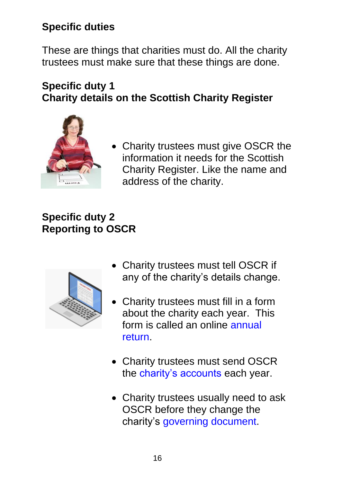### **Specific duties**

These are things that charities must do. All the charity trustees must make sure that these things are done.

#### **Specific duty 1 Charity details on the Scottish Charity Register**



• Charity trustees must give OSCR the information it needs for the Scottish Charity Register. Like the name and address of the charity.

### **Specific duty 2 Reporting to OSCR**



- Charity trustees must tell OSCR if any of the charity's details change.
- Charity trustees must fill in a form about the charity each year. This form is called an online annual return.
- Charity trustees must send OSCR the charity's accounts each year.
- Charity trustees usually need to ask OSCR before they change the charity's governing document.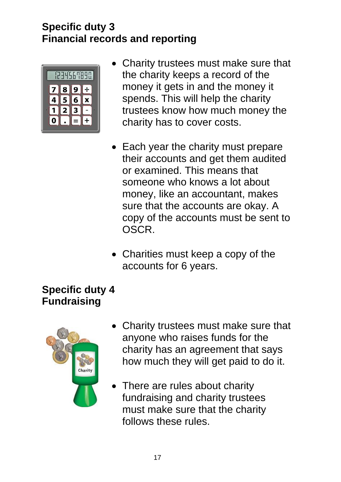#### **Specific duty 3 Financial records and reporting**



- Charity trustees must make sure that the charity keeps a record of the money it gets in and the money it spends. This will help the charity trustees know how much money the charity has to cover costs.
- Each year the charity must prepare their accounts and get them audited or examined. This means that someone who knows a lot about money, like an accountant, makes sure that the accounts are okay. A copy of the accounts must be sent to OSCR.
- Charities must keep a copy of the accounts for 6 years.

#### **Specific duty 4 Fundraising**



- Charity trustees must make sure that anyone who raises funds for the charity has an agreement that says how much they will get paid to do it.
- There are rules about charity fundraising and charity trustees must make sure that the charity follows these rules.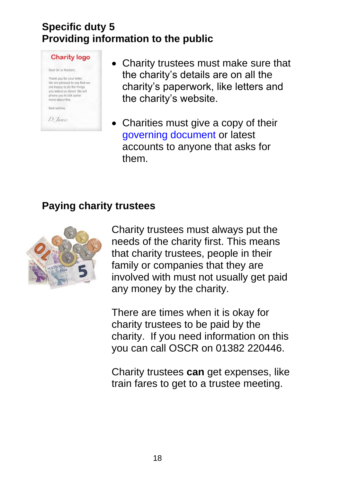#### **Specific duty 5 Providing information to the public**



- Charity trustees must make sure that the charity's details are on all the charity's paperwork, like letters and the charity's website.
- Charities must give a copy of their governing document or latest accounts to anyone that asks for them.

#### **Paying charity trustees**



Charity trustees must always put the needs of the charity first. This means that charity trustees, people in their family or companies that they are involved with must not usually get paid any money by the charity.

There are times when it is okay for charity trustees to be paid by the charity. If you need information on this you can call OSCR on 01382 220446.

Charity trustees **can** get expenses, like train fares to get to a trustee meeting.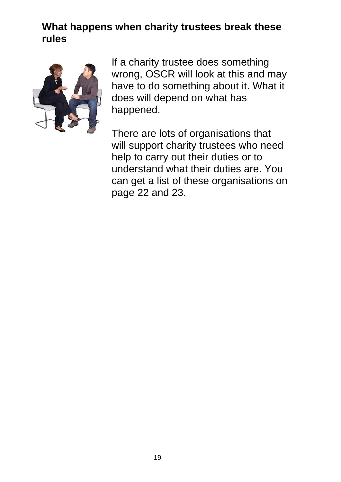#### **What happens when charity trustees break these rules**



If a charity trustee does something wrong, OSCR will look at this and may have to do something about it. What it does will depend on what has happened.

There are lots of organisations that will support charity trustees who need help to carry out their duties or to understand what their duties are. You can get a list of these organisations on page 22 and 23.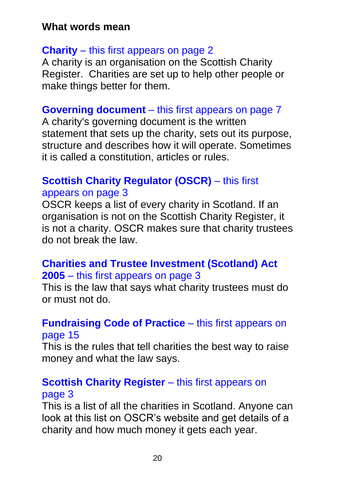#### **What words mean**

#### **Charity** – this first appears on page 2

A charity is an organisation on the Scottish Charity Register. Charities are set up to help other people or make things better for them.

#### **Governing document** – this first appears on page 7

A charity's governing document is the written statement that sets up the charity, sets out its purpose, structure and describes how it will operate. Sometimes it is called a constitution, articles or rules.

#### **Scottish Charity Regulator (OSCR)** – this first appears on page 3

OSCR keeps a list of every charity in Scotland. If an organisation is not on the Scottish Charity Register, it is not a charity. OSCR makes sure that charity trustees do not break the law.

#### **Charities and Trustee Investment (Scotland) Act 2005** – this first appears on page 3

This is the law that says what charity trustees must do or must not do.

#### **Fundraising Code of Practice** – this first appears on page 15

This is the rules that tell charities the best way to raise money and what the law says.

#### **Scottish Charity Register** – this first appears on page 3

This is a list of all the charities in Scotland. Anyone can look at this list on OSCR's website and get details of a charity and how much money it gets each year.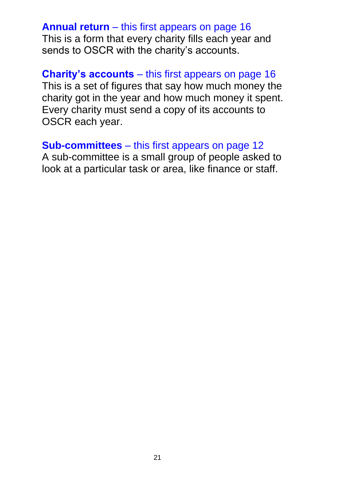#### **Annual return** – this first appears on page 16 This is a form that every charity fills each year and sends to OSCR with the charity's accounts.

**Charity's accounts** – this first appears on page 16 This is a set of figures that say how much money the charity got in the year and how much money it spent. Every charity must send a copy of its accounts to OSCR each year.

**Sub-committees** – this first appears on page 12 A sub-committee is a small group of people asked to look at a particular task or area, like finance or staff.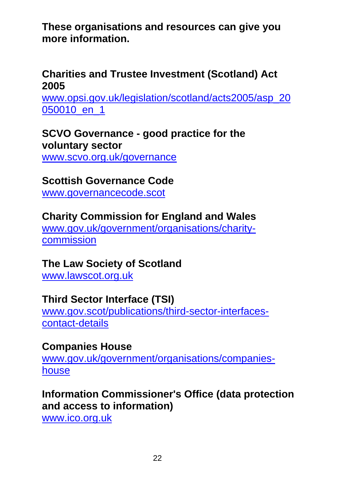**These organisations and resources can give you more information.**

#### **Charities and Trustee Investment (Scotland) Act 2005**

[www.opsi.gov.uk/legislation/scotland/acts2005/asp\\_20](http://www.opsi.gov.uk/legislation/scotland/acts2005/asp_20050010_en_1) [050010\\_en\\_1](http://www.opsi.gov.uk/legislation/scotland/acts2005/asp_20050010_en_1)

**SCVO Governance - good practice for the voluntary sector**

[www.scvo.org.uk/governance](http://www.scvo.org.uk/governance)

#### **Scottish Governance Code**

[www.governancecode.scot](http://www.governancecode.scot/) 

#### **Charity Commission for England and Wales**

[www.gov.uk/government/organisations/charity](https://www.gov.uk/government/organisations/charity-commission)[commission](https://www.gov.uk/government/organisations/charity-commission)

#### **The Law Society of Scotland**

[www.lawscot.org.uk](http://www.lawscot.org.uk/)

#### **Third Sector Interface (TSI)**

[www.gov.scot/publications/third-sector-interfaces](http://www.gov.scot/publications/third-sector-interfaces-contact-details)[contact-details](http://www.gov.scot/publications/third-sector-interfaces-contact-details)

#### **Companies House**

[www.gov.uk/government/organisations/companies](http://www.gov.uk/government/organisations/companies-house)[house](http://www.gov.uk/government/organisations/companies-house)

#### **Information Commissioner's Office (data protection and access to information)**

[www.ico.org.uk](http://www.ico.org.uk/)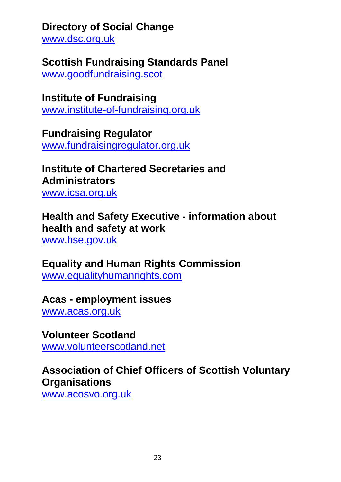#### **Directory of Social Change**

[www.dsc.org.uk](http://www.dsc.org.uk/)

#### **Scottish Fundraising Standards Panel**

[www.goodfundraising.scot](http://www.goodfundraising.scot/)

**Institute of Fundraising** [www.institute-of-fundraising.org.uk](http://www.institute-of-fundraising.org.uk/)

**Fundraising Regulator** [www.fundraisingregulator.org.uk](http://www.fundraisingregulator.org.uk/)

#### **Institute of Chartered Secretaries and Administrators** [www.icsa.org.uk](http://www.icsa.org.uk/)

**Health and Safety Executive - information about health and safety at work**

[www.hse.gov.uk](http://www.hse.gov.uk/)

#### **Equality and Human Rights Commission** [www.equalityhumanrights.com](http://www.equalityhumanrights.com/)

#### **Acas - employment issues**

[www.acas.org.uk](http://www.acas.org.uk/) 

#### **Volunteer Scotland**

[www.volunteerscotland.net](http://www.volunteerscotland.net/)

#### **Association of Chief Officers of Scottish Voluntary Organisations**

[www.acosvo.org.uk](http://www.acosvo.org.uk/)